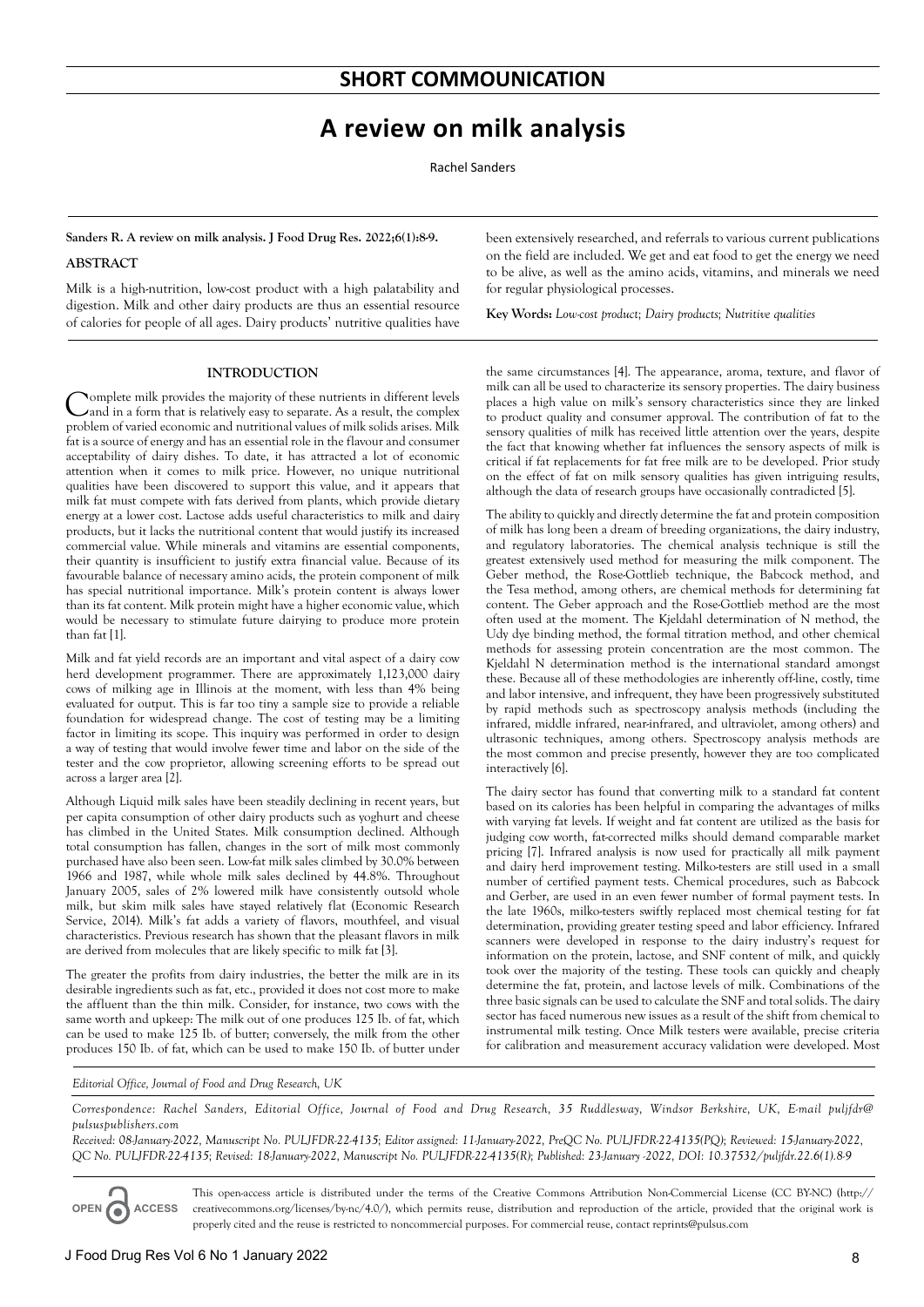# **A review on milk analysis**

Rachel Sanders

**Sanders R. A review on milk analysis. J Food Drug Res. 2022;6(1):8-9.**

## **ABSTRACT**

Milk is a high-nutrition, low-cost product with a high palatability and digestion. Milk and other dairy products are thus an essential resource of calories for people of all ages. Dairy products' nutritive qualities have

### **INTRODUCTION**

Complete milk provides the majority of these nutrients in different levels and in a form that is relatively easy to separate. As a result, the complex problem of varied economic and nutritional values of milk solids arises. Milk fat is a source of energy and has an essential role in the flavour and consumer acceptability of dairy dishes. To date, it has attracted a lot of economic attention when it comes to milk price. However, no unique nutritional qualities have been discovered to support this value, and it appears that milk fat must compete with fats derived from plants, which provide dietary energy at a lower cost. Lactose adds useful characteristics to milk and dairy products, but it lacks the nutritional content that would justify its increased commercial value. While minerals and vitamins are essential components, their quantity is insufficient to justify extra financial value. Because of its favourable balance of necessary amino acids, the protein component of milk has special nutritional importance. Milk's protein content is always lower than its fat content. Milk protein might have a higher economic value, which would be necessary to stimulate future dairying to produce more protein than fat [1].

Milk and fat yield records are an important and vital aspect of a dairy cow herd development programmer. There are approximately 1,123,000 dairy cows of milking age in Illinois at the moment, with less than 4% being evaluated for output. This is far too tiny a sample size to provide a reliable foundation for widespread change. The cost of testing may be a limiting factor in limiting its scope. This inquiry was performed in order to design a way of testing that would involve fewer time and labor on the side of the tester and the cow proprietor, allowing screening efforts to be spread out across a larger area [2].

Although Liquid milk sales have been steadily declining in recent years, but per capita consumption of other dairy products such as yoghurt and cheese has climbed in the United States. Milk consumption declined. Although total consumption has fallen, changes in the sort of milk most commonly purchased have also been seen. Low-fat milk sales climbed by 30.0% between 1966 and 1987, while whole milk sales declined by 44.8%. Throughout January 2005, sales of 2% lowered milk have consistently outsold whole milk, but skim milk sales have stayed relatively flat (Economic Research Service, 2014). Milk's fat adds a variety of flavors, mouthfeel, and visual characteristics. Previous research has shown that the pleasant flavors in milk are derived from molecules that are likely specific to milk fat [3].

The greater the profits from dairy industries, the better the milk are in its desirable ingredients such as fat, etc., provided it does not cost more to make the affluent than the thin milk. Consider, for instance, two cows with the same worth and upkeep: The milk out of one produces 125 Ib. of fat, which can be used to make 125 Ib. of butter; conversely, the milk from the other produces 150 Ib. of fat, which can be used to make 150 Ib. of butter under

been extensively researched, and referrals to various current publications on the field are included. We get and eat food to get the energy we need to be alive, as well as the amino acids, vitamins, and minerals we need for regular physiological processes.

**Key Words:** *Low-cost product; Dairy products; Nutritive qualities*

the same circumstances [4]. The appearance, aroma, texture, and flavor of milk can all be used to characterize its sensory properties. The dairy business places a high value on milk's sensory characteristics since they are linked to product quality and consumer approval. The contribution of fat to the sensory qualities of milk has received little attention over the years, despite the fact that knowing whether fat influences the sensory aspects of milk is critical if fat replacements for fat free milk are to be developed. Prior study on the effect of fat on milk sensory qualities has given intriguing results, although the data of research groups have occasionally contradicted [5].

The ability to quickly and directly determine the fat and protein composition of milk has long been a dream of breeding organizations, the dairy industry, and regulatory laboratories. The chemical analysis technique is still the greatest extensively used method for measuring the milk component. The Geber method, the Rose-Gottlieb technique, the Babcock method, and the Tesa method, among others, are chemical methods for determining fat content. The Geber approach and the Rose-Gottlieb method are the most often used at the moment. The Kjeldahl determination of N method, the Udy dye binding method, the formal titration method, and other chemical methods for assessing protein concentration are the most common. The Kjeldahl N determination method is the international standard amongst these. Because all of these methodologies are inherently off-line, costly, time and labor intensive, and infrequent, they have been progressively substituted by rapid methods such as spectroscopy analysis methods (including the infrared, middle infrared, near-infrared, and ultraviolet, among others) and ultrasonic techniques, among others. Spectroscopy analysis methods are the most common and precise presently, however they are too complicated interactively [6].

The dairy sector has found that converting milk to a standard fat content based on its calories has been helpful in comparing the advantages of milks with varying fat levels. If weight and fat content are utilized as the basis for judging cow worth, fat-corrected milks should demand comparable market pricing [7]. Infrared analysis is now used for practically all milk payment and dairy herd improvement testing. Milko-testers are still used in a small number of certified payment tests. Chemical procedures, such as Babcock and Gerber, are used in an even fewer number of formal payment tests. In the late 1960s, milko-testers swiftly replaced most chemical testing for fat determination, providing greater testing speed and labor efficiency. Infrared scanners were developed in response to the dairy industry's request for information on the protein, lactose, and SNF content of milk, and quickly took over the majority of the testing. These tools can quickly and cheaply determine the fat, protein, and lactose levels of milk. Combinations of the three basic signals can be used to calculate the SNF and total solids. The dairy sector has faced numerous new issues as a result of the shift from chemical to instrumental milk testing. Once Milk testers were available, precise criteria for calibration and measurement accuracy validation were developed. Most

*Editorial Office, Journal of Food and Drug Research, UK*

*Correspondence: Rachel Sanders, Editorial Office, Journal of Food and Drug Research, 35 Ruddlesway, Windsor Berkshire, UK, E-mail puljfdr@ pulsuspublishers.com*

*Received: 08-January-2022, Manuscript No. PULJFDR-22-4135; Editor assigned: 11-January-2022, PreQC No. PULJFDR-22-4135(PQ); Reviewed: 15-January-2022, QC No. PULJFDR-22-4135; Revised: 18-January-2022, Manuscript No. PULJFDR-22-4135(R); Published: 23-January -2022, DOI: 10.37532/puljfdr.22.6(1).8-9*

**OPEN ACCESS**

This open-access article is distributed under the terms of the Creative Commons Attribution Non-Commercial License (CC BY-NC) (http:// creativecommons.org/licenses/by-nc/4.0/), which permits reuse, distribution and reproduction of the article, provided that the original work is properly cited and the reuse is restricted to noncommercial purposes. For commercial reuse, contact reprints@pulsus.com